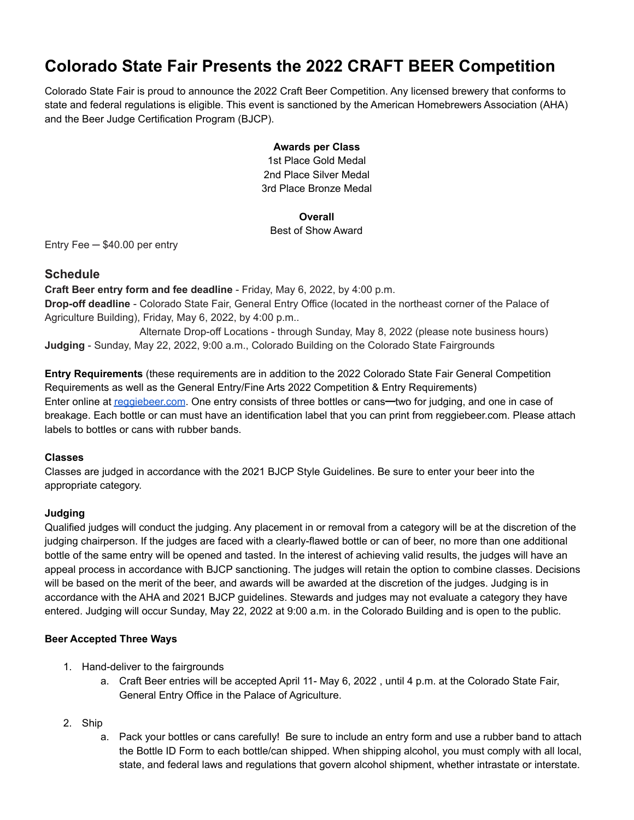# **Colorado State Fair Presents the 2022 CRAFT BEER Competition**

Colorado State Fair is proud to announce the 2022 Craft Beer Competition. Any licensed brewery that conforms to state and federal regulations is eligible. This event is sanctioned by the American Homebrewers Association (AHA) and the Beer Judge Certification Program (BJCP).

## **Awards per Class**

1st Place Gold Medal 2nd Place Silver Medal 3rd Place Bronze Medal

## **Overall**

## Best of Show Award

Entry Fee ─ \$40.00 per entry

## **Schedule**

**Craft Beer entry form and fee deadline** - Friday, May 6, 2022, by 4:00 p.m. **Drop-off deadline** - Colorado State Fair, General Entry Office (located in the northeast corner of the Palace of Agriculture Building), Friday, May 6, 2022, by 4:00 p.m..

Alternate Drop-off Locations - through Sunday, May 8, 2022 (please note business hours) **Judging** - Sunday, May 22, 2022, 9:00 a.m., Colorado Building on the Colorado State Fairgrounds

**Entry Requirements** (these requirements are in addition to the 2022 Colorado State Fair General Competition Requirements as well as the General Entry/Fine Arts 2022 Competition & Entry Requirements) Enter online at [reggiebeer.com](http://reggiebeer.com). One entry consists of three bottles or cans—two for judging, and one in case of breakage. Each bottle or can must have an identification label that you can print from reggiebeer.com. Please attach labels to bottles or cans with rubber bands.

## **Classes**

Classes are judged in accordance with the 2021 BJCP Style Guidelines. Be sure to enter your beer into the appropriate category.

## **Judging**

Qualified judges will conduct the judging. Any placement in or removal from a category will be at the discretion of the judging chairperson. If the judges are faced with a clearly-flawed bottle or can of beer, no more than one additional bottle of the same entry will be opened and tasted. In the interest of achieving valid results, the judges will have an appeal process in accordance with BJCP sanctioning. The judges will retain the option to combine classes. Decisions will be based on the merit of the beer, and awards will be awarded at the discretion of the judges. Judging is in accordance with the AHA and 2021 BJCP guidelines. Stewards and judges may not evaluate a category they have entered. Judging will occur Sunday, May 22, 2022 at 9:00 a.m. in the Colorado Building and is open to the public.

## **Beer Accepted Three Ways**

- 1. Hand-deliver to the fairgrounds
	- a. Craft Beer entries will be accepted April 11- May 6, 2022, until 4 p.m. at the Colorado State Fair, General Entry Office in the Palace of Agriculture.
- 2. Ship
	- a. Pack your bottles or cans carefully! Be sure to include an entry form and use a rubber band to attach the Bottle ID Form to each bottle/can shipped. When shipping alcohol, you must comply with all local, state, and federal laws and regulations that govern alcohol shipment, whether intrastate or interstate.